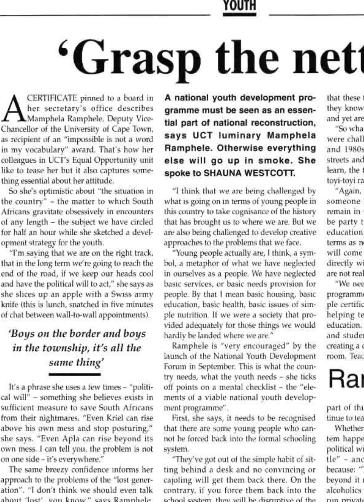#### **YOUTH**

# **'Grasp** the nett

 $\mathbf{A}^{\scriptscriptstyle{\mathrm{s}}}_{\scriptscriptstyle{\mathrm{A}}}$ CERTIFICATE pinned to a board in her secretary's office describes Mamphela Ramphele, Deputy Vice-Chancellor of Ihe University of Cape Town, as recipient of an "impossible is not a word in my vocabulary" award. That's how her colleagues in UCTs Equal Opportunity unit like to tease her but it also captures something essential about her attitude.

So she's optimistic about "the situation in the country" - the matter to which South Africans gravitate obsessively in encounters of any length - the subject we have circled for half an hour while she sketched a development strategy for the youth.

"I'm saying that we are on the right track, that in the long term we're going to reach the end of the road, if we keep our heads cool and have the political will to act," she says as she slices up an apple with a Swiss army knife (this is lunch, snatched in five minutes of chat between wall-to-wall appointments).

#### *'Boys on the border and boys in the township, it's alt the same thing'*

It's a phrase she uses a few times - "political will" - something she believes exists in sufficient measure to save South Africans from their nightmares. ''Even Kriel can rise above his own mess and stop posturing/' she says. "Even Apia can rise beyond its own mess. I can tell you, the problem is not on one side - if s everywhere."

The same breezy confidence informs her approach to the problems of Ihe "lost generation". "I don't think we should even talk about 'lost', you know," says Ramphele.

A national youth development programme must be seen as an essential part of national reconstruction, says UCT luminary Mamphela Ramphele. Otherwise everything else will go up in smoke. She spoke to SHAUNA WESTCOTT.

"1 think that we are being challenged by what is going on in terms of young people in this country to take cognisance of the history that has brought us to where we are. But we are also being challenged lo develop creative approaches to the problems that we face.

"Young people actually are, I think, a symbol, a metaphor of what we have neglected in ourselves as a people. We have neglected baste services, or basic needs provision for people. By that I mean basic housing, basic education, basic health, basic issues of simple nutrition. If we were a society that provided adequately for those things we would hardly be landed where we are,"

Ramphele is "very encouraged" by the launch of the National Youth Development Forum in September. This is what the country needs, what the youth needs - she ticks oft points on a mental checklist - the "elemenls ol a viable national vouth development programme".

First, she says, it needs to be recognised that there are some young people who cannol be forced back into the formal schooling system.

"They've got out ol the simple habit of sitting behind a desk and no convincing or cajoling will get them back there. On the contrary, if you force them back into the school system, they will be disruptive of the that these they know and yet are "So wha were chall and 1980s streets and

learn, the

toyi-toyi ra "Again, someone h remain in be party t education terms as n will come directly w are not real "We nee

programm ple certific helping to education. and stude creating a room. Teac

## Rai

part of thi tinue to tea

**Whether** tem happe political w tle" - ano because: " beyond it n alcoholics<sup>.</sup> anconomes<br>run private